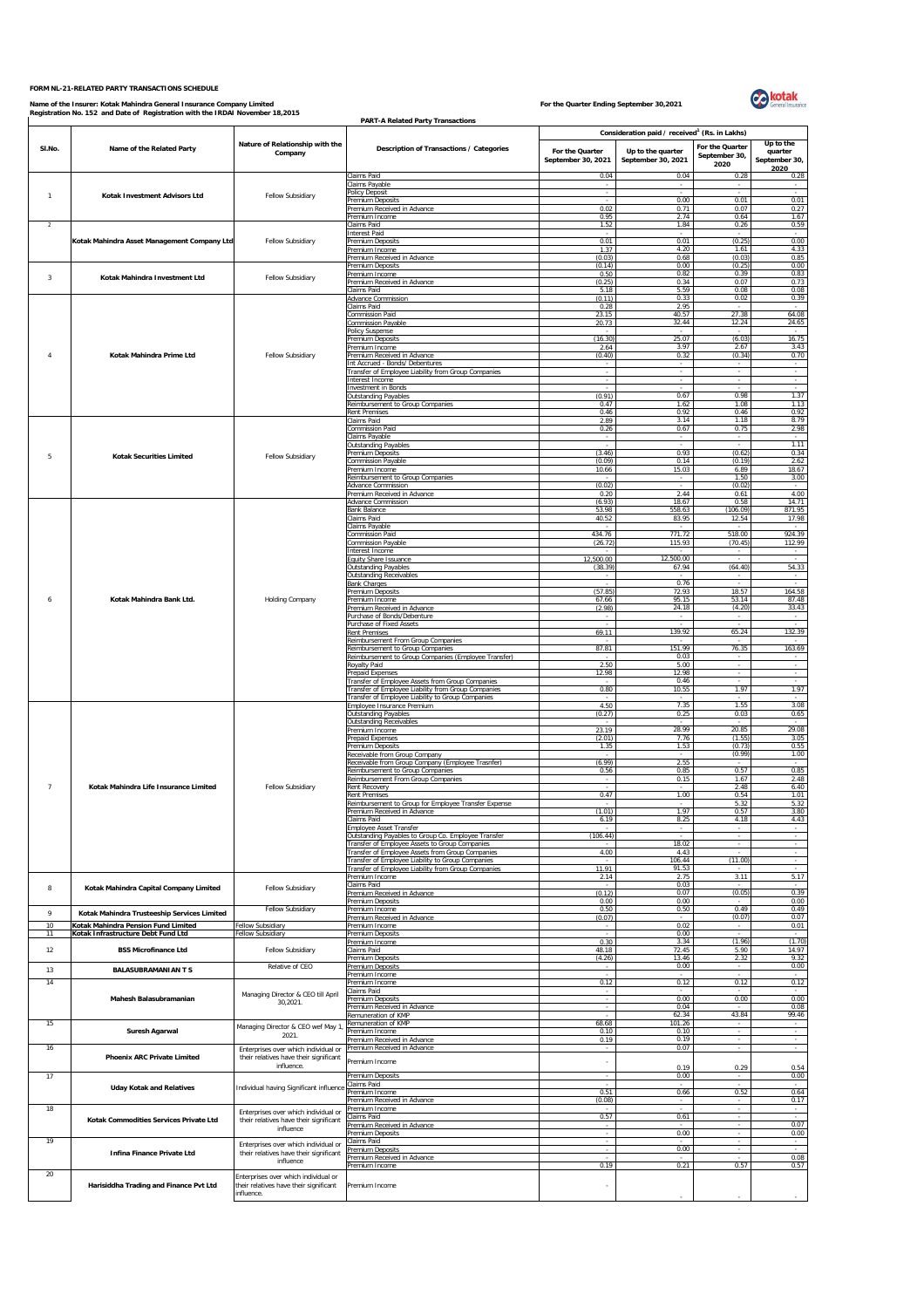## **FORM NL-21-RELATED PARTY TRANSACTIONS SCHEDULE**

Name of the Insurer: Kotak Mahindra General Insurance Company Limited<br>Registration No. 152 and Date of Registration with the IRDAI November 18,2015



|                         | Registration No. 152 and Date of Registration with the IRDAI November 18,2015<br><b>PART-A Related Party Transactions</b> |                                                                                                                                     |                                                                                                       |                                       |                                                                                                      |                                          |                                               |  |  |
|-------------------------|---------------------------------------------------------------------------------------------------------------------------|-------------------------------------------------------------------------------------------------------------------------------------|-------------------------------------------------------------------------------------------------------|---------------------------------------|------------------------------------------------------------------------------------------------------|------------------------------------------|-----------------------------------------------|--|--|
| SI.No.                  | Name of the Related Party                                                                                                 | Nature of Relationship with the<br>Company                                                                                          | Description of Transactions / Categories                                                              | For the Quarter<br>September 30, 2021 | Consideration paid / received <sup>1</sup> (Rs. in Lakhs)<br>Up to the quarter<br>September 30, 2021 | For the Quarter<br>September 30,<br>2020 | Up to the<br>quarter<br>September 30,<br>2020 |  |  |
|                         |                                                                                                                           |                                                                                                                                     | Claims Paid                                                                                           | 0.04                                  | 0.04                                                                                                 | 0.28                                     | 0.28                                          |  |  |
| $\overline{1}$          | Kotak Investment Advisors Ltd                                                                                             | Fellow Subsidiary                                                                                                                   | Claims Payable<br><b>Policy Deposit</b>                                                               | ÷                                     |                                                                                                      |                                          |                                               |  |  |
|                         |                                                                                                                           |                                                                                                                                     | Premium Deposits<br>Premium Received in Advance                                                       | 0.02                                  | 0.00<br>0.71                                                                                         | 0.01<br>0.07                             | 0.01<br>0.27                                  |  |  |
| -2                      |                                                                                                                           | Fellow Subsidiary                                                                                                                   | Premium Income<br>Claims Paid                                                                         | 0.95<br>1.52                          | 2.74<br>1.84                                                                                         | 0.64<br>0.26                             | 1.67<br>0.59                                  |  |  |
|                         |                                                                                                                           |                                                                                                                                     | <b>Interest Paid</b>                                                                                  |                                       |                                                                                                      | (0.25)                                   |                                               |  |  |
|                         | Kotak Mahindra Asset Management Company Ltd                                                                               |                                                                                                                                     | Premium Deposits<br>Premium Income                                                                    | 0.01<br>1.37                          | 0.01<br>4.20                                                                                         | 1.61                                     | 0.00<br>4.33                                  |  |  |
|                         |                                                                                                                           |                                                                                                                                     | Premium Received in Advance<br>Premium Deposits                                                       | (0.03)<br>(0.14)                      | 0.68<br>0.00                                                                                         | (0.03)<br>(0.25)                         | 0.85<br>0.00                                  |  |  |
| $\overline{\mathbf{3}}$ | Kotak Mahindra Investment Ltd                                                                                             | Fellow Subsidiary                                                                                                                   | Premium Income                                                                                        | 0.50                                  | 0.82                                                                                                 | 0.39                                     | 0.83                                          |  |  |
|                         |                                                                                                                           |                                                                                                                                     | Premium Received in Advance<br>Claims Paid                                                            | (0.25)<br>5.18                        | 0.34<br>5.59                                                                                         | 0.07<br>0.08                             | 0.73<br>0.08                                  |  |  |
|                         |                                                                                                                           |                                                                                                                                     | Advance Commission<br>Claims Paid                                                                     | (0.11)<br>0.28                        | 0.33<br>2.95                                                                                         | 0.02                                     | 0.39                                          |  |  |
|                         | Kotak Mahindra Prime Ltd                                                                                                  | Fellow Subsidiary                                                                                                                   | Commission Paid                                                                                       | 23.15                                 | 40.57                                                                                                | 27.38                                    | 64.08                                         |  |  |
|                         |                                                                                                                           |                                                                                                                                     | <b>Commission Payable</b><br>Policy Suspense                                                          | 20.73                                 | 32.44                                                                                                | 12.24                                    | 24.65                                         |  |  |
|                         |                                                                                                                           |                                                                                                                                     | <b>Premium Deposits</b><br>Premium Income                                                             | (16.30)<br>2.64                       | 25.07<br>3.97                                                                                        | (6.03)<br>2.67                           | 16.75<br>3.43                                 |  |  |
| 4                       |                                                                                                                           |                                                                                                                                     | Premium Received in Advance                                                                           | (0.40)                                | 0.32                                                                                                 | (0.34)                                   | 0.70                                          |  |  |
|                         |                                                                                                                           |                                                                                                                                     | Int Accrued - Bonds/ Debentures<br>Fransfer of Employee Liability from Group Companies                |                                       |                                                                                                      |                                          |                                               |  |  |
|                         |                                                                                                                           |                                                                                                                                     | Interest Income<br>Investment in Bonds                                                                |                                       |                                                                                                      | $\sim$                                   | ×<br>$\sim$                                   |  |  |
|                         |                                                                                                                           |                                                                                                                                     | Outstanding Payables                                                                                  | (0.91)<br>0.47                        | 0.67<br>1.62                                                                                         | 0.98<br>1.08                             | 1.37<br>1.13                                  |  |  |
|                         |                                                                                                                           |                                                                                                                                     | Reimbursement to Group Companies<br><b>Rent Premises</b>                                              | 0.46                                  | 0.92                                                                                                 | 0.46                                     | 0.92                                          |  |  |
|                         |                                                                                                                           |                                                                                                                                     | Claims Paid<br>Commission Paid                                                                        | 2.89<br>0.26                          | 3.14<br>0.67                                                                                         | 1.18<br>0.75                             | 8.79<br>2.98                                  |  |  |
|                         |                                                                                                                           |                                                                                                                                     | Claims Payable<br><b>Outstanding Payables</b>                                                         | ÷.                                    |                                                                                                      |                                          | 1.11                                          |  |  |
| 5                       | <b>Kotak Securities Limited</b>                                                                                           | Fellow Subsidiary                                                                                                                   | Premium Deposits                                                                                      | (3.46)                                | 0.93                                                                                                 | (0.62)                                   | 0.34                                          |  |  |
|                         |                                                                                                                           |                                                                                                                                     | Commission Payable<br>Premium Income                                                                  | (0.09)<br>10.66                       | 0.14<br>15.03                                                                                        | (0.19)<br>6.89                           | 2.62<br>18.67                                 |  |  |
|                         |                                                                                                                           |                                                                                                                                     | Reimbursement to Group Companies<br>Advance Commission                                                | (0.02)                                |                                                                                                      | 1.50<br>(0.02)                           | 3.00                                          |  |  |
|                         |                                                                                                                           |                                                                                                                                     | Premium Received in Advance                                                                           | 0.20                                  | 2.44                                                                                                 | 0.61                                     | 4.00                                          |  |  |
|                         |                                                                                                                           |                                                                                                                                     | <b>Advance Commission</b><br><b>Bank Balance</b>                                                      | (6.93)<br>53.98                       | 18.67<br>558.63                                                                                      | 0.58<br>(106.09)                         | 14.71<br>871.95                               |  |  |
|                         |                                                                                                                           |                                                                                                                                     | Claims Paid<br>Claims Payable                                                                         | 40.52                                 | 83.95                                                                                                | 12.54                                    | 17.98                                         |  |  |
|                         | Kotak Mahindra Bank Ltd.                                                                                                  |                                                                                                                                     | <b>Commission Paid</b><br><b>Commission Payable</b>                                                   | 434.76<br>(26.72)                     | 771.72<br>115.93                                                                                     | 518.00<br>(70.45)                        | 924.39<br>112.99                              |  |  |
|                         |                                                                                                                           |                                                                                                                                     | Interest Income                                                                                       |                                       |                                                                                                      |                                          |                                               |  |  |
|                         |                                                                                                                           |                                                                                                                                     | Equity Share Issuance<br><b>Outstanding Payables</b>                                                  | 12,500.00<br>(38.39)                  | 12,500.00<br>67.94                                                                                   | (64.40)                                  | 54.33                                         |  |  |
|                         |                                                                                                                           |                                                                                                                                     | <b>Outstanding Receivables</b><br><b>Bank Charges</b>                                                 | $\sim$                                | 0.76                                                                                                 | $\sim$                                   | $\sim$                                        |  |  |
|                         |                                                                                                                           | Holding Company                                                                                                                     | Premium Deposits                                                                                      | (57.85)                               | 72.93                                                                                                | 18.57<br>53.14                           | 164.58                                        |  |  |
| 6                       |                                                                                                                           |                                                                                                                                     | Premium Income<br>Premium Received in Advance                                                         | 67.66<br>(2.98)                       | 95.15<br>24.18                                                                                       | (4.20)                                   | 87.48<br>33.43                                |  |  |
|                         |                                                                                                                           |                                                                                                                                     | Purchase of Bonds/Debenture<br>Purchase of Fixed Assets                                               | $\sim$                                | $\sim$                                                                                               | $\sim$                                   | $\sim$                                        |  |  |
|                         |                                                                                                                           |                                                                                                                                     | <b>Rent Premises</b><br>Reimbursement From Group Companies                                            | 69.11                                 | 139.92                                                                                               | 65.24                                    | 132.39                                        |  |  |
|                         |                                                                                                                           |                                                                                                                                     | Reimbursement to Group Companies                                                                      | 87.81                                 | 151.99                                                                                               | 76.35                                    | 163.69                                        |  |  |
|                         |                                                                                                                           |                                                                                                                                     | Reimbursement to Group Companies (Employee Transfer)<br><b>Royalty Paid</b>                           | 2.50                                  | 0.03<br>5.00                                                                                         | $\mathbf{r}$                             | $\sim$                                        |  |  |
|                         |                                                                                                                           |                                                                                                                                     | Prepaid Expenses<br>Transfer of Employee Assets from Group Companies                                  | 12.98                                 | 12.98<br>0.46                                                                                        | $\sim$                                   | $\sim$<br>$\sim$                              |  |  |
|                         |                                                                                                                           |                                                                                                                                     | Transfer of Employee Liability from Group Companies                                                   | 0.80                                  | 10.55                                                                                                | 1.97                                     | 1.97                                          |  |  |
|                         |                                                                                                                           |                                                                                                                                     | Transfer of Employee Liability to Group Companies<br>Employee Insurance Premium                       | 4.50                                  | 7.35                                                                                                 | 1.55                                     | 3.08                                          |  |  |
|                         |                                                                                                                           |                                                                                                                                     | <b>Outstanding Payables</b><br><b>Outstanding Receivables</b>                                         | (0.27)                                | 0.25                                                                                                 | 0.03                                     | 0.65                                          |  |  |
|                         |                                                                                                                           |                                                                                                                                     | Premium Income<br>Prepaid Expenses                                                                    | 23.19<br>(2.01)                       | 28.99<br>7.76                                                                                        | 20.85<br>(1.55)                          | 29.08<br>3.05                                 |  |  |
|                         |                                                                                                                           |                                                                                                                                     | <b>Premium Deposits</b>                                                                               | 1.35                                  | 1.53                                                                                                 | (0.73)                                   | 0.55                                          |  |  |
|                         |                                                                                                                           |                                                                                                                                     | Receivable from Group Company<br>Receivable from Group Company (Employee Trasnfer)                    | (6.99)                                | 2.55                                                                                                 | (0.99)                                   | 1.00                                          |  |  |
|                         |                                                                                                                           |                                                                                                                                     | Reimbursement to Group Companies<br>Reimbursement From Group Companies                                | 0.56                                  | 0.85<br>0.15                                                                                         | 0.57<br>1.67                             | 0.85<br>2.48                                  |  |  |
| $\overline{7}$          | Kotak Mahindra Life Insurance Limited                                                                                     | Fellow Subsidiary                                                                                                                   | Rent Recovery                                                                                         | 0.47                                  | 1.00                                                                                                 | 2.48                                     | 6.40                                          |  |  |
|                         |                                                                                                                           |                                                                                                                                     | <b>Rent Premises</b><br>Reimbursement to Group for Employee Transfer Expense                          |                                       |                                                                                                      | 0.54<br>5.32                             | 1.01<br>5.32                                  |  |  |
|                         |                                                                                                                           |                                                                                                                                     | Premium Received in Advance<br>Claims Paid                                                            | 1.01)<br>6.19                         | 1.97<br>8.25                                                                                         | 0.57<br>4.18                             | 3.80<br>4.43                                  |  |  |
|                         |                                                                                                                           |                                                                                                                                     | <b>Employee Asset Transfer</b><br>Outstanding Payables to Group Co. Employee Transfer                 | (106.44)                              |                                                                                                      | ÷                                        | $\sim$                                        |  |  |
|                         |                                                                                                                           |                                                                                                                                     | Transfer of Employee Assets to Group Companies                                                        | $\sim$                                | 18.02                                                                                                | $\sim$                                   | $\sim$                                        |  |  |
|                         |                                                                                                                           |                                                                                                                                     | Transfer of Employee Assets from Group Companies<br>Transfer of Employee Liability to Group Companies | 4.00<br>$\sim$                        | 4.43<br>106.44                                                                                       | (11.00)                                  | π                                             |  |  |
|                         |                                                                                                                           |                                                                                                                                     | Transfer of Employee Liability from Group Companies<br>Premium Income                                 | 11.91<br>2.14                         | 91.53<br>2.75                                                                                        | 3.11                                     | 5.17                                          |  |  |
| $^{\rm 8}$              | Kotak Mahindra Capital Company Limited                                                                                    | Fellow Subsidiary                                                                                                                   | Claims Paid<br>Premium Received in Advance                                                            | (0.12)                                | 0.03<br>0.07                                                                                         | (0.05)                                   | 0.39                                          |  |  |
|                         |                                                                                                                           |                                                                                                                                     | Premium Deposits                                                                                      | 0.00                                  | 0.00                                                                                                 |                                          | 0.00                                          |  |  |
| 9                       | Kotak Mahindra Trusteeship Services Limited                                                                               | Fellow Subsidiary                                                                                                                   | Premium Income<br>Premium Received in Advance                                                         | 0.50<br>(0.07)                        | 0.50                                                                                                 | 0.49<br>(0.07)                           | 0.49<br>0.07                                  |  |  |
| 10<br>11                | Kotak Mahindra Pension Fund Limited<br>Kotak Infrastructure Debt Fund Ltd                                                 | Fellow Subsidiary<br>Fellow Subsidiary                                                                                              | Premium Income<br>Premium Deposits                                                                    | $\overline{\phantom{a}}$              | 0.02<br>0.00                                                                                         |                                          | 0.01                                          |  |  |
| 12                      | <b>BSS Microfinance Ltd</b>                                                                                               |                                                                                                                                     | Premium Income                                                                                        | 0.30                                  | 3.34<br>72.45                                                                                        | (1.96)<br>5.90                           | (1.70)<br>14.97                               |  |  |
|                         |                                                                                                                           | Fellow Subsidiary                                                                                                                   | Claims Paid<br>Premium Deposits                                                                       | 48.18<br>(4.26)                       | 13.46                                                                                                | 2.32                                     | 9.32                                          |  |  |
| 13                      | <b>BALASUBRAMANIAN T S</b>                                                                                                | Relative of CEO                                                                                                                     | Premium Deposits<br>Premium Income                                                                    | $\sim$<br>$\sim$                      | 0.00                                                                                                 | $\sim$                                   | 0.00<br>$\sim$                                |  |  |
| 14                      |                                                                                                                           |                                                                                                                                     | Premium Income<br>Claims Paid                                                                         | 0.12                                  | 0.12                                                                                                 | 0.12                                     | 0.12                                          |  |  |
|                         | Mahesh Balasubramanian                                                                                                    | Managing Director & CEO till April<br>30,2021.                                                                                      | Premium Deposits                                                                                      | $\overline{\phantom{a}}$              | 0.00<br>0.04                                                                                         | 0.00                                     | 0.00<br>0.08                                  |  |  |
|                         |                                                                                                                           |                                                                                                                                     | Premium Received in Advance<br>Remuneration of KMP                                                    | $\sim$                                | 62.34                                                                                                | 43.84                                    | 99.46                                         |  |  |
| 15                      | Suresh Agarwal                                                                                                            | Managing Director & CEO wef May 1,                                                                                                  | Remuneration of KMP<br>Premium Income                                                                 | 68.68<br>0.10                         | 101.26<br>0.10                                                                                       | $\sim$                                   | $\sim$                                        |  |  |
| 16                      |                                                                                                                           | 2021.<br>Enterprises over which individual or                                                                                       | Premium Received in Advance<br>Premium Received in Advance                                            | 0.19                                  | 0.19<br>0.07                                                                                         | $\sim$                                   | $\sim$                                        |  |  |
|                         | Phoenix ARC Private Limited                                                                                               | their relatives have their significant                                                                                              | Premium Income                                                                                        | ÷                                     |                                                                                                      |                                          |                                               |  |  |
| 17                      |                                                                                                                           | influence.                                                                                                                          | Premium Deposits                                                                                      | $\overline{\phantom{a}}$              | 0.19<br>0.00                                                                                         | 0.29                                     | 0.54<br>0.00                                  |  |  |
|                         | <b>Uday Kotak and Relatives</b>                                                                                           | Individual having Significant influence                                                                                             | Claims Paid                                                                                           | ÷.                                    |                                                                                                      |                                          |                                               |  |  |
|                         | Kotak Commodities Services Private Ltd                                                                                    | Enterprises over which individual or<br>their relatives have their significant<br>influence<br>Enterprises over which individual or | Premium Income<br>Premium Received in Advance                                                         | 0.51<br>(0.08)                        | 0.66                                                                                                 | 0.52                                     | 0.64<br>0.17                                  |  |  |
| 18                      |                                                                                                                           |                                                                                                                                     | Premium Income<br>Claims Paid                                                                         | 0.57                                  | 0.61                                                                                                 | ÷                                        | $\sim$                                        |  |  |
|                         |                                                                                                                           |                                                                                                                                     | Premium Received in Advance<br>Premium Deposits                                                       | $\overline{\phantom{a}}$<br>$\sim$    | 0.00                                                                                                 | $\sim$<br>$\sim$                         | 0.07<br>0.00                                  |  |  |
| 19                      |                                                                                                                           |                                                                                                                                     | Claims Paid                                                                                           |                                       |                                                                                                      |                                          |                                               |  |  |
|                         | <b>Infina Finance Private Ltd</b>                                                                                         | their relatives have their significant<br>influence                                                                                 | Premium Deposits<br>Premium Received in Advance                                                       | ÷                                     | 0.00                                                                                                 |                                          | 0.08                                          |  |  |
| 20                      |                                                                                                                           | Enterprises over which individual or                                                                                                | Premium Income                                                                                        | 0.19                                  | 0.21                                                                                                 | 0.57                                     | 0.57                                          |  |  |
|                         | Harisiddha Trading and Finance Pvt Ltd                                                                                    | their relatives have their significant                                                                                              | Premium Income                                                                                        |                                       |                                                                                                      |                                          |                                               |  |  |
|                         |                                                                                                                           | influence.                                                                                                                          |                                                                                                       |                                       |                                                                                                      |                                          |                                               |  |  |